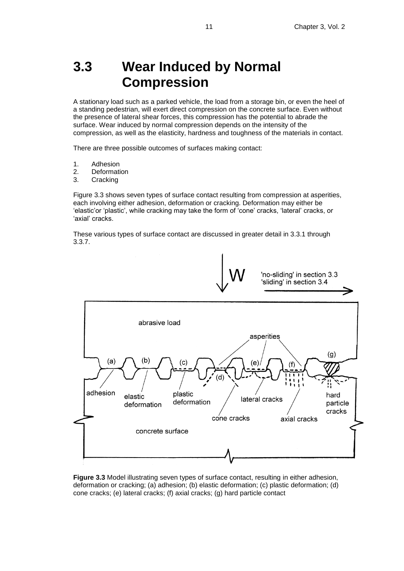# **3.3 Wear Induced by Normal Compression**

A stationary load such as a parked vehicle, the load from a storage bin, or even the heel of a standing pedestrian, will exert direct compression on the concrete surface. Even without the presence of lateral shear forces, this compression has the potential to abrade the surface. Wear induced by normal compression depends on the intensity of the compression, as well as the elasticity, hardness and toughness of the materials in contact.

There are three possible outcomes of surfaces making contact:

- 1. Adhesion
- 2. Deformation
- 3. Cracking

Figure 3.3 shows seven types of surface contact resulting from compression at asperities, each involving either adhesion, deformation or cracking. Deformation may either be 'elastic'or 'plastic', while cracking may take the form of 'cone' cracks, 'lateral' cracks, or 'axial' cracks.

These various types of surface contact are discussed in greater detail in 3.3.1 through 3.3.7.



**Figure 3.3** Model illustrating seven types of surface contact, resulting in either adhesion, deformation or cracking; (a) adhesion; (b) elastic deformation; (c) plastic deformation; (d) cone cracks; (e) lateral cracks; (f) axial cracks; (g) hard particle contact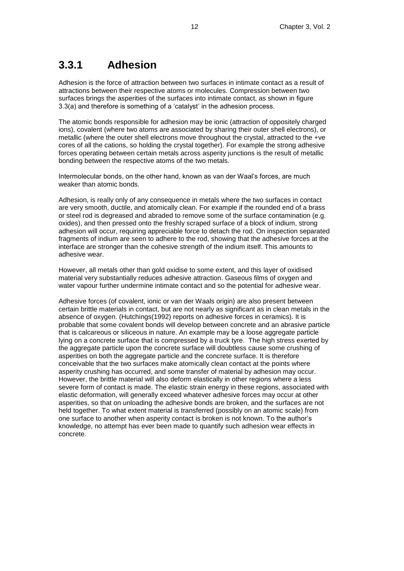## **3.3.1 Adhesion**

Adhesion is the force of attraction between two surfaces in intimate contact as a result of attractions between their respective atoms or molecules. Compression between two surfaces brings the asperities of the surfaces into intimate contact, as shown in figure 3.3(a) and therefore is something of a 'catalyst' in the adhesion process.

The atomic bonds responsible for adhesion may be ionic (attraction of oppositely charged ions), covalent (where two atoms are associated by sharing their outer shell electrons), or metallic (where the outer shell electrons move throughout the crystal, attracted to the +ve cores of all the cations, so holding the crystal together). For example the strong adhesive forces operating between certain metals across asperity junctions is the result of metallic bonding between the respective atoms of the two metals.

Intermolecular bonds, on the other hand, known as van der Waal's forces, are much weaker than atomic bonds.

Adhesion, is really only of any consequence in metals where the two surfaces in contact are very smooth, ductile, and atomically clean. For example if the rounded end of a brass or steel rod is degreased and abraded to remove some of the surface contamination (e.g. oxides), and then pressed onto the freshly scraped surface of a block of indium, strong adhesion will occur, requiring appreciable force to detach the rod. On inspection separated fragments of indium are seen to adhere to the rod, showing that the adhesive forces at the interface are stronger than the cohesive strength of the indium itself. This amounts to adhesive wear.

However, all metals other than gold oxidise to some extent, and this layer of oxidised material very substantially reduces adhesive attraction. Gaseous films of oxygen and water vapour further undermine intimate contact and so the potential for adhesive wear.

Adhesive forces (of covalent, ionic or van der Waals origin) are also present between certain brittle materials in contact, but are not nearly as significant as in clean metals in the absence of oxygen. (Hutchings(1992) reports on adhesive forces in ceramics). It is probable that some covalent bonds will develop between concrete and an abrasive particle that is calcareous or siliceous in nature. An example may be a loose aggregate particle lying on a concrete surface that is compressed by a truck tyre. The high stress exerted by the aggregate particle upon the concrete surface will doubtless cause some crushing of asperities on both the aggregate particle and the concrete surface. It is therefore conceivable that the two surfaces make atomically clean contact at the points where asperity crushing has occurred, and some transfer of material by adhesion may occur. However, the brittle material will also deform elastically in other regions where a less severe form of contact is made. The elastic strain energy in these regions, associated with elastic deformation, will generally exceed whatever adhesive forces may occur at other asperities, so that on unloading the adhesive bonds are broken, and the surfaces are not held together. To what extent material is transferred (possibly on an atomic scale) from one surface to another when asperity contact is broken is not known. To the author's knowledge, no attempt has ever been made to quantify such adhesion wear effects in concrete.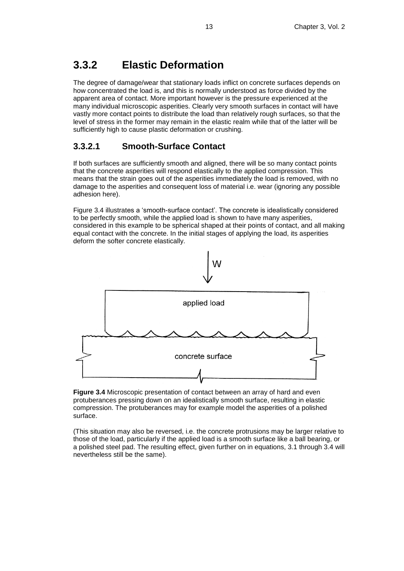## **3.3.2 Elastic Deformation**

The degree of damage/wear that stationary loads inflict on concrete surfaces depends on how concentrated the load is, and this is normally understood as force divided by the apparent area of contact. More important however is the pressure experienced at the many individual microscopic asperities. Clearly very smooth surfaces in contact will have vastly more contact points to distribute the load than relatively rough surfaces, so that the level of stress in the former may remain in the elastic realm while that of the latter will be sufficiently high to cause plastic deformation or crushing.

### **3.3.2.1 Smooth-Surface Contact**

If both surfaces are sufficiently smooth and aligned, there will be so many contact points that the concrete asperities will respond elastically to the applied compression. This means that the strain goes out of the asperities immediately the load is removed, with no damage to the asperities and consequent loss of material i.e. wear (ignoring any possible adhesion here).

Figure 3.4 illustrates a 'smooth-surface contact'. The concrete is idealistically considered to be perfectly smooth, while the applied load is shown to have many asperities, considered in this example to be spherical shaped at their points of contact, and all making equal contact with the concrete. In the initial stages of applying the load, its asperities deform the softer concrete elastically.



**Figure 3.4** Microscopic presentation of contact between an array of hard and even protuberances pressing down on an idealistically smooth surface, resulting in elastic compression. The protuberances may for example model the asperities of a polished surface.

(This situation may also be reversed, i.e. the concrete protrusions may be larger relative to those of the load, particularly if the applied load is a smooth surface like a ball bearing, or a polished steel pad. The resulting effect, given further on in equations, 3.1 through 3.4 will nevertheless still be the same).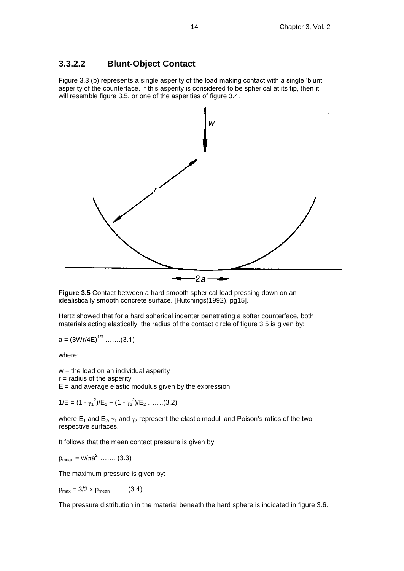#### **3.3.2.2 Blunt-Object Contact**

Figure 3.3 (b) represents a single asperity of the load making contact with a single 'blunt' asperity of the counterface. If this asperity is considered to be spherical at its tip, then it will resemble figure 3.5, or one of the asperities of figure 3.4.



**Figure 3.5** Contact between a hard smooth spherical load pressing down on an idealistically smooth concrete surface. [Hutchings(1992), pg15].

Hertz showed that for a hard spherical indenter penetrating a softer counterface, both materials acting elastically, the radius of the contact circle of figure 3.5 is given by:

 $a = (3Wr/4E)^{1/3}$  …….(3.1)

where:

 $w =$  the load on an individual asperity  $r =$  radius of the asperity  $E =$  and average elastic modulus given by the expression:

 $1/E = (1 - \gamma_1^2)/E_1 + (1 - \gamma_2^2)/E_2$  ......(3.2)

where  $E_1$  and  $E_2$ ,  $\gamma_1$  and  $\gamma_2$  represent the elastic moduli and Poison's ratios of the two respective surfaces.

It follows that the mean contact pressure is given by:

 $p_{mean} = w/\pi a^2 \dots (3.3)$ 

The maximum pressure is given by:

 $p_{max} = 3/2 \times p_{mean} \dots (3.4)$ 

The pressure distribution in the material beneath the hard sphere is indicated in figure 3.6.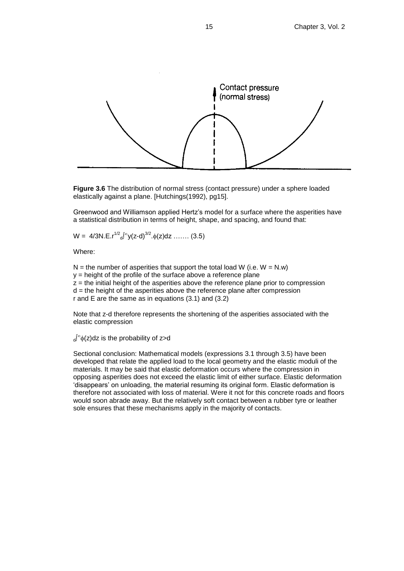

**Figure 3.6** The distribution of normal stress (contact pressure) under a sphere loaded elastically against a plane. [Hutchings(1992), pg15].

Greenwood and Williamson applied Hertz's model for a surface where the asperities have a statistical distribution in terms of height, shape, and spacing, and found that:

 $W = 4/3N.E.r^{1/2} d^{(0)}y (z-d)^{3/2} \cdot \phi(z) dz \dots (3.5)$ 

Where:

 $N =$  the number of asperities that support the total load W (i.e.  $W = N.w$ ) y = height of the profile of the surface above a reference plane  $z =$  the initial height of the asperities above the reference plane prior to compression d = the height of the asperities above the reference plane after compression r and E are the same as in equations (3.1) and (3.2)

Note that z-d therefore represents the shortening of the asperities associated with the elastic compression

 $d^{\infty}$ φ(z)dz is the probability of z>d

Sectional conclusion: Mathematical models (expressions 3.1 through 3.5) have been developed that relate the applied load to the local geometry and the elastic moduli of the materials. It may be said that elastic deformation occurs where the compression in opposing asperities does not exceed the elastic limit of either surface. Elastic deformation 'disappears' on unloading, the material resuming its original form. Elastic deformation is therefore not associated with loss of material. Were it not for this concrete roads and floors would soon abrade away. But the relatively soft contact between a rubber tyre or leather sole ensures that these mechanisms apply in the majority of contacts.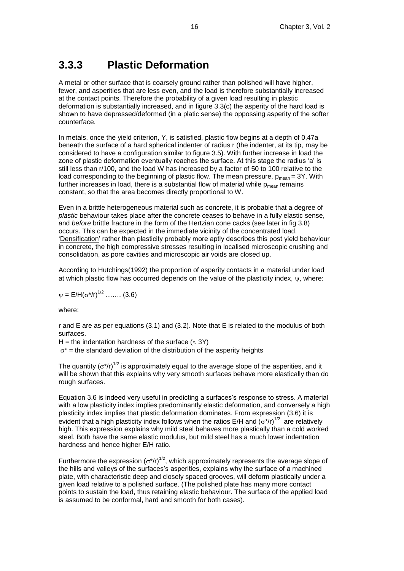## **3.3.3 Plastic Deformation**

A metal or other surface that is coarsely ground rather than polished will have higher, fewer, and asperities that are less even, and the load is therefore substantially increased at the contact points. Therefore the probability of a given load resulting in plastic deformation is substantially increased, and in figure 3.3(c) the asperity of the hard load is shown to have depressed/deformed (in a platic sense) the oppossing asperity of the softer counterface.

In metals, once the yield criterion, Y, is satisfied, plastic flow begins at a depth of 0,47a beneath the surface of a hard spherical indenter of radius r (the indenter, at its tip, may be considered to have a configuration similar to figure 3.5). With further increase in load the zone of plastic deformation eventually reaches the surface. At this stage the radius 'a' is still less than r/100, and the load W has increased by a factor of 50 to 100 relative to the load corresponding to the beginning of plastic flow. The mean pressure,  $p_{mean} = 3Y$ . With further increases in load, there is a substantial flow of material while  $p_{mean}$  remains constant, so that the area becomes directly proportional to W.

Even in a brittle heterogeneous material such as concrete, it is probable that a degree of *plastic* behaviour takes place after the concrete ceases to behave in a fully elastic sense, and *before* brittle fracture in the form of the Hertzian cone cacks (see later in fig 3.8) occurs. This can be expected in the immediate vicinity of the concentrated load. 'Densification' rather than plasticity probably more aptly describes this post yield behaviour in concrete, the high compressive stresses resulting in localised microscopic crushing and consolidation, as pore cavities and microscopic air voids are closed up.

According to Hutchings(1992) the proportion of asperity contacts in a material under load at which plastic flow has occurred depends on the value of the plasticity index,  $\psi$ , where:

$$
\psi = \mathsf{E}/\mathsf{H}(\sigma^*/r)^{1/2} \dots \dots \dots (3.6)
$$

where:

r and E are as per equations (3.1) and (3.2). Note that E is related to the modulus of both surfaces.

H = the indentation hardness of the surface ( $\approx$  3Y)

 $\sigma^*$  = the standard deviation of the distribution of the asperity heights

The quantity  $(\sigma^*/r)^{1/2}$  is approximately equal to the average slope of the asperities, and it will be shown that this explains why very smooth surfaces behave more elastically than do rough surfaces.

Equation 3.6 is indeed very useful in predicting a surfaces's response to stress. A material with a low plasticity index implies predominantly elastic deformation, and conversely a high plasticity index implies that plastic deformation dominates. From expression (3.6) it is evident that a high plasticity index follows when the ratios E/H and  $(\sigma^*$ /r)<sup>1/2</sup> are relatively high. This expression explains why mild steel behaves more plastically than a cold worked steel. Both have the same elastic modulus, but mild steel has a much lower indentation hardness and hence higher E/H ratio.

Furthermore the expression  $(\sigma^* / r)^{1/2}$ , which approximately represents the average slope of the hills and valleys of the surfaces's asperities, explains why the surface of a machined plate, with characteristic deep and closely spaced grooves, will deform plastically under a given load relative to a polished surface. (The polished plate has many more contact points to sustain the load, thus retaining elastic behaviour. The surface of the applied load is assumed to be conformal, hard and smooth for both cases).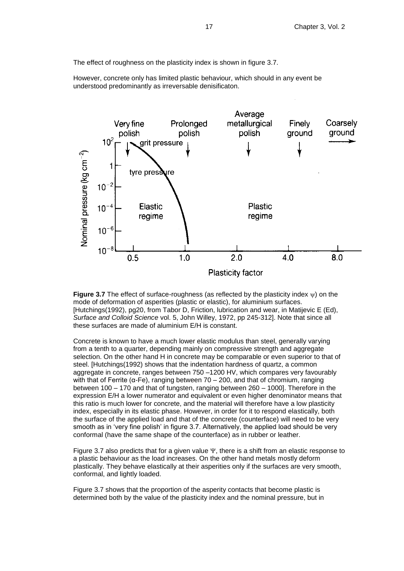The effect of roughness on the plasticity index is shown in figure 3.7.

However, concrete only has limited plastic behaviour, which should in any event be understood predominantly as irreversable denisificaton.



**Figure 3.7** The effect of surface-roughness (as reflected by the plasticity index  $\psi$ ) on the mode of deformation of asperities (plastic or elastic), for aluminium surfaces. [Hutchings(1992), pg20, from Tabor D, Friction, lubrication and wear, in Matijevic E (Ed), *Surface and Colloid Science* vol. 5, John Willey, 1972, pp 245-312]. Note that since all these surfaces are made of aluminium E/H is constant.

Concrete is known to have a much lower elastic modulus than steel, generally varying from a tenth to a quarter, depending mainly on compressive strength and aggregate selection. On the other hand H in concrete may be comparable or even superior to that of steel. [Hutchings(1992) shows that the indentation hardness of quartz, a common aggregate in concrete, ranges between 750 –1200 HV, which compares very favourably with that of Ferrite ( $\alpha$ -Fe), ranging between 70 – 200, and that of chromium, ranging between 100 – 170 and that of tungsten, ranging between 260 – 1000]. Therefore in the expression E/H a lower numerator and equivalent or even higher denominator means that this ratio is much lower for concrete, and the material will therefore have a low plasticity index, especially in its elastic phase. However, in order for it to respond elastically, both the surface of the applied load and that of the concrete (counterface) will need to be very smooth as in 'very fine polish' in figure 3.7. Alternatively, the applied load should be very conformal (have the same shape of the counterface) as in rubber or leather.

Figure 3.7 also predicts that for a given value  $\Psi$ , there is a shift from an elastic response to a plastic behaviour as the load increases. On the other hand metals mostly deform plastically. They behave elastically at their asperities only if the surfaces are very smooth, conformal, and lightly loaded.

Figure 3.7 shows that the proportion of the asperity contacts that become plastic is determined both by the value of the plasticity index and the nominal pressure, but in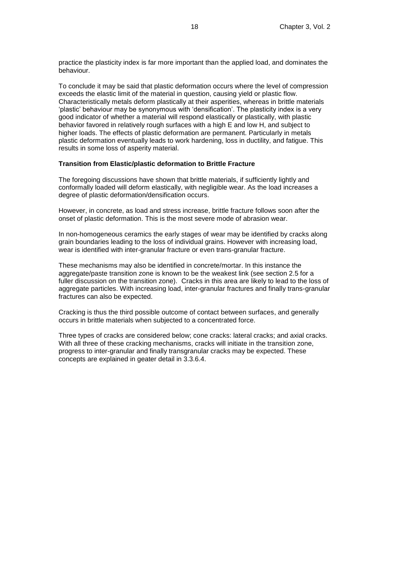practice the plasticity index is far more important than the applied load, and dominates the behaviour.

To conclude it may be said that plastic deformation occurs where the level of compression exceeds the elastic limit of the material in question, causing yield or plastic flow. Characteristically metals deform plastically at their asperities, whereas in brittle materials 'plastic' behaviour may be synonymous with 'densification'. The plasticity index is a very good indicator of whether a material will respond elastically or plastically, with plastic behavior favored in relatively rough surfaces with a high E and low H, and subject to higher loads. The effects of plastic deformation are permanent. Particularly in metals plastic deformation eventually leads to work hardening, loss in ductility, and fatigue. This results in some loss of asperity material.

#### **Transition from Elastic/plastic deformation to Brittle Fracture**

The foregoing discussions have shown that brittle materials, if sufficiently lightly and conformally loaded will deform elastically, with negligible wear. As the load increases a degree of plastic deformation/densification occurs.

However, in concrete, as load and stress increase, brittle fracture follows soon after the onset of plastic deformation. This is the most severe mode of abrasion wear.

In non-homogeneous ceramics the early stages of wear may be identified by cracks along grain boundaries leading to the loss of individual grains. However with increasing load, wear is identified with inter-granular fracture or even trans-granular fracture.

These mechanisms may also be identified in concrete/mortar. In this instance the aggregate/paste transition zone is known to be the weakest link (see section 2.5 for a fuller discussion on the transition zone). Cracks in this area are likely to lead to the loss of aggregate particles. With increasing load, inter-granular fractures and finally trans-granular fractures can also be expected.

Cracking is thus the third possible outcome of contact between surfaces, and generally occurs in brittle materials when subjected to a concentrated force.

Three types of cracks are considered below; cone cracks: lateral cracks; and axial cracks. With all three of these cracking mechanisms, cracks will initiate in the transition zone, progress to inter-granular and finally transgranular cracks may be expected. These concepts are explained in geater detail in 3.3.6.4.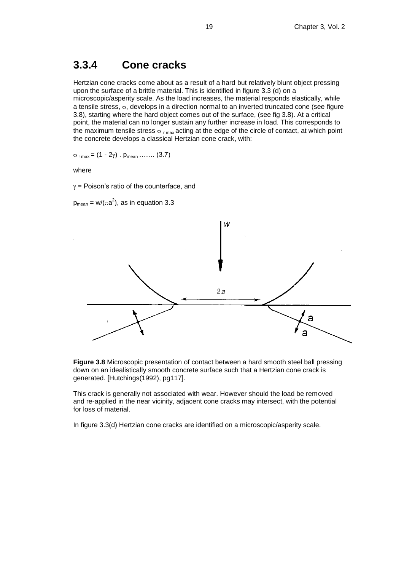## **3.3.4 Cone cracks**

Hertzian cone cracks come about as a result of a hard but relatively blunt object pressing upon the surface of a brittle material. This is identified in figure 3.3 (d) on a microscopic/asperity scale. As the load increases, the material responds elastically, while a tensile stress,  $\sigma$ , develops in a direction normal to an inverted truncated cone (see figure 3.8), starting where the hard object comes out of the surface, (see fig 3.8). At a critical point, the material can no longer sustain any further increase in load. This corresponds to the maximum tensile stress  $\sigma_{rms}$  acting at the edge of the circle of contact, at which point the concrete develops a classical Hertzian cone crack, with:

 $\sigma_{r \text{max}} = (1 - 2\gamma)$ .  $p_{\text{mean}}$  ……. (3.7)

where

 $y =$  Poison's ratio of the counterface, and

 $p_{mean} = w/(\pi a^2)$ , as in equation 3.3



**Figure 3.8** Microscopic presentation of contact between a hard smooth steel ball pressing down on an idealistically smooth concrete surface such that a Hertzian cone crack is generated. [Hutchings(1992), pg117].

This crack is generally not associated with wear. However should the load be removed and re-applied in the near vicinity, adjacent cone cracks may intersect, with the potential for loss of material.

In figure 3.3(d) Hertzian cone cracks are identified on a microscopic/asperity scale.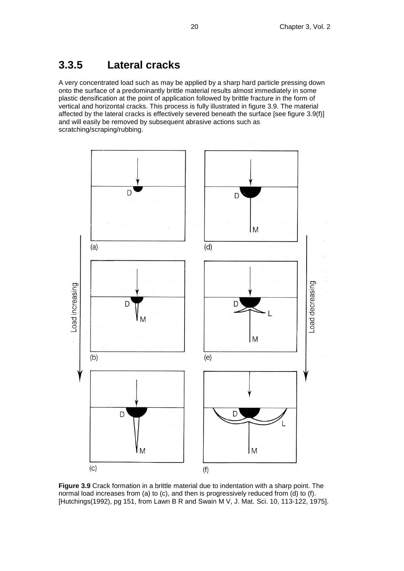## **3.3.5 Lateral cracks**

A very concentrated load such as may be applied by a sharp hard particle pressing down onto the surface of a predominantly brittle material results almost immediately in some plastic densification at the point of application followed by brittle fracture in the form of vertical and horizontal cracks. This process is fully illustrated in figure 3.9. The material affected by the lateral cracks is effectively severed beneath the surface [see figure 3.9(f)] and will easily be removed by subsequent abrasive actions such as scratching/scraping/rubbing.



**Figure 3.9** Crack formation in a brittle material due to indentation with a sharp point. The normal load increases from (a) to (c), and then is progressively reduced from (d) to (f). [Hutchings(1992), pg 151, from Lawn B R and Swain M V, J. Mat. Sci. 10, 113-122, 1975].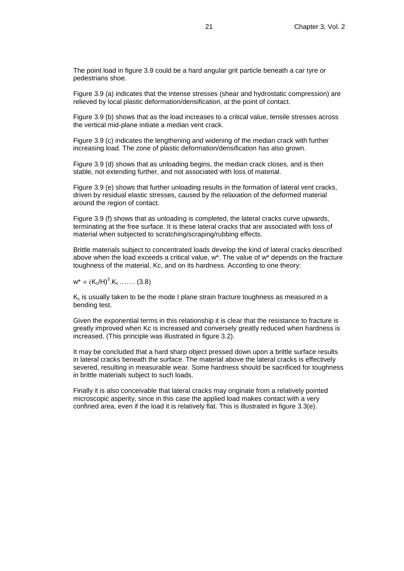The point load in figure 3.9 could be a hard angular grit particle beneath a car tyre or pedestrians shoe.

Figure 3.9 (a) indicates that the intense stresses (shear and hydrostatic compression) are relieved by local plastic deformation/densification, at the point of contact.

Figure 3.9 (b) shows that as the load increases to a critical value, tensile stresses across the vertical mid-plane initiate a median vent crack.

Figure 3.9 (c) indicates the lengthening and widening of the median crack with further increasing load. The zone of plastic deformation/densification has also grown.

Figure 3.9 (d) shows that as unloading begins, the median crack closes, and is then stable, not extending further, and not associated with loss of material.

Figure 3.9 (e) shows that further unloading results in the formation of lateral vent cracks, driven by residual elastic stresses, caused by the relaxation of the deformed material around the region of contact.

Figure 3.9 (f) shows that as unloading is completed, the lateral cracks curve upwards, terminating at the free surface. It is these lateral cracks that are associated with loss of material when subjected to scratching/scraping/rubbing effects.

Brittle materials subject to concentrated loads develop the kind of lateral cracks described above when the load exceeds a critical value, w\*. The value of w\* depends on the fracture toughness of the material, Kc, and on its hardness. According to one theory:

 $w^* \propto (K_o/H)^3.K_c \ldots \ldots$  (3.8)

 $K<sub>c</sub>$  is usually taken to be the mode I plane strain fracture toughness as measured in a bending test.

Given the exponential terms in this relationship it is clear that the resistance to fracture is greatly improved when Kc is increased and conversely greatly reduced when hardness is increased. (This principle was illustrated in figure 3.2).

It may be concluded that a hard sharp object pressed down upon a brittle surface results in lateral cracks beneath the surface. The material above the lateral cracks is effectively severed, resulting in measurable wear. Some hardness should be sacrificed for toughness in brittle materials subject to such loads.

Finally it is also conceivable that lateral cracks may originate from a relatively pointed microscopic asperity, since in this case the applied load makes contact with a very confined area, even if the load it is relatively flat. This is illustrated in figure 3.3(e).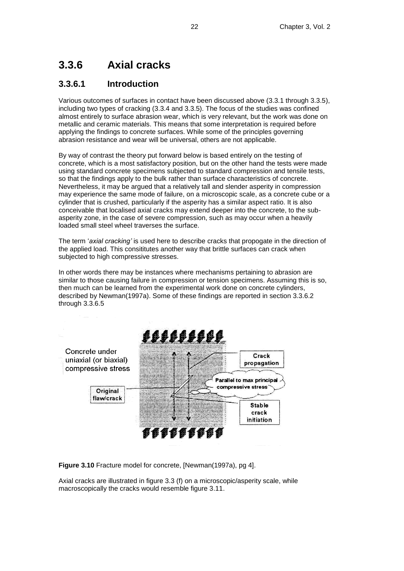## **3.3.6 Axial cracks**

## **3.3.6.1 Introduction**

Various outcomes of surfaces in contact have been discussed above (3.3.1 through 3.3.5), including two types of cracking (3.3.4 and 3.3.5). The focus of the studies was confined almost entirely to surface abrasion wear, which is very relevant, but the work was done on metallic and ceramic materials. This means that some interpretation is required before applying the findings to concrete surfaces. While some of the principles governing abrasion resistance and wear will be universal, others are not applicable.

By way of contrast the theory put forward below is based entirely on the testing of concrete, which is a most satisfactory position, but on the other hand the tests were made using standard concrete specimens subjected to standard compression and tensile tests, so that the findings apply to the bulk rather than surface characteristics of concrete. Nevertheless, it may be argued that a relatively tall and slender asperity in compression may experience the same mode of failure, on a microscopic scale, as a concrete cube or a cylinder that is crushed, particularly if the asperity has a similar aspect ratio. It is also conceivable that localised axial cracks may extend deeper into the concrete, to the subasperity zone, in the case of severe compression, such as may occur when a heavily loaded small steel wheel traverses the surface.

The term '*axial cracking'* is used here to describe cracks that propogate in the direction of the applied load. This consititutes another way that brittle surfaces can crack when subjected to high compressive stresses.

In other words there may be instances where mechanisms pertaining to abrasion are similar to those causing failure in compression or tension specimens. Assuming this is so, then much can be learned from the experimental work done on concrete cylinders, described by Newman(1997a). Some of these findings are reported in section 3.3.6.2 through 3.3.6.5



**Figure 3.10** Fracture model for concrete, [Newman(1997a), pg 4].

Axial cracks are illustrated in figure 3.3 (f) on a microscopic/asperity scale, while macroscopically the cracks would resemble figure 3.11.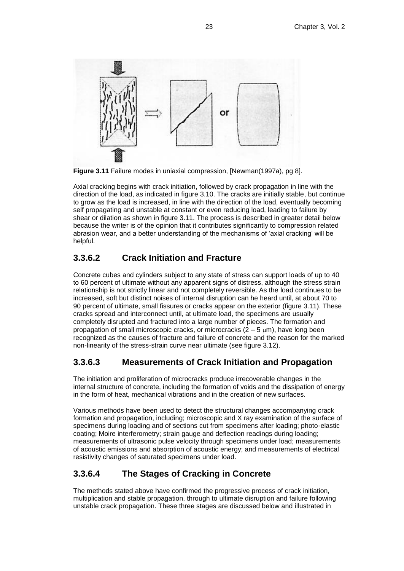

**Figure 3.11** Failure modes in uniaxial compression, [Newman(1997a), pg 8].

Axial cracking begins with crack initiation, followed by crack propagation in line with the direction of the load, as indicated in figure 3.10. The cracks are initially stable, but continue to grow as the load is increased, in line with the direction of the load, eventually becoming self propagating and unstable at constant or even reducing load, leading to failure by shear or dilation as shown in figure 3.11. The process is described in greater detail below because the writer is of the opinion that it contributes significantly to compression related abrasion wear, and a better understanding of the mechanisms of 'axial cracking' will be helpful.

## **3.3.6.2 Crack Initiation and Fracture**

Concrete cubes and cylinders subject to any state of stress can support loads of up to 40 to 60 percent of ultimate without any apparent signs of distress, although the stress strain relationship is not strictly linear and not completely reversible. As the load continues to be increased, soft but distinct noises of internal disruption can he heard until, at about 70 to 90 percent of ultimate, small fissures or cracks appear on the exterior (figure 3.11). These cracks spread and interconnect until, at ultimate load, the specimens are usually completely disrupted and fractured into a large number of pieces. The formation and propagation of small microscopic cracks, or microcracks  $(2 - 5 \mu m)$ , have long been recognized as the causes of fracture and failure of concrete and the reason for the marked non-linearity of the stress-strain curve near ultimate (see figure 3.12).

## **3.3.6.3 Measurements of Crack Initiation and Propagation**

The initiation and proliferation of microcracks produce irrecoverable changes in the internal structure of concrete, including the formation of voids and the dissipation of energy in the form of heat, mechanical vibrations and in the creation of new surfaces.

Various methods have been used to detect the structural changes accompanying crack formation and propagation, including; microscopic and X ray examination of the surface of specimens during loading and of sections cut from specimens after loading; photo-elastic coating; Moire interferometry; strain gauge and deflection readings during loading; measurements of ultrasonic pulse velocity through specimens under load; measurements of acoustic emissions and absorption of acoustic energy; and measurements of electrical resistivity changes of saturated specimens under load.

## **3.3.6.4 The Stages of Cracking in Concrete**

The methods stated above have confirmed the progressive process of crack initiation, multiplication and stable propagation, through to ultimate disruption and failure following unstable crack propagation. These three stages are discussed below and illustrated in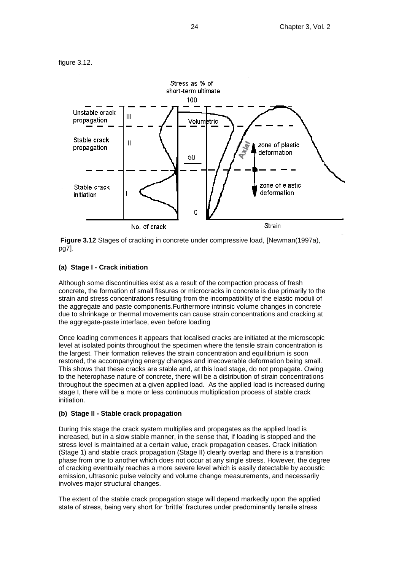



**Figure 3.12** Stages of cracking in concrete under compressive load, [Newman(1997a), pg7].

#### **(a) Stage I - Crack initiation**

Although some discontinuities exist as a result of the compaction process of fresh concrete, the formation of small fissures or microcracks in concrete is due primarily to the strain and stress concentrations resulting from the incompatibility of the elastic moduli of the aggregate and paste components.Furthermore intrinsic volume changes in concrete due to shrinkage or thermal movements can cause strain concentrations and cracking at the aggregate-paste interface, even before loading

Once loading commences it appears that localised cracks are initiated at the microscopic level at isolated points throughout the specimen where the tensile strain concentration is the largest. Their formation relieves the strain concentration and equilibrium is soon restored, the accompanying energy changes and irrecoverable deformation being small. This shows that these cracks are stable and, at this load stage, do not propagate. Owing to the heterophase nature of concrete, there will be a distribution of strain concentrations throughout the specimen at a given applied load. As the applied load is increased during stage I, there will be a more or less continuous multiplication process of stable crack initiation.

#### **(b) Stage II - Stable crack propagation**

During this stage the crack system multiplies and propagates as the applied load is increased, but in a slow stable manner, in the sense that, if loading is stopped and the stress level is maintained at a certain value, crack propagation ceases. Crack initiation (Stage 1) and stable crack propagation (Stage II) clearly overlap and there is a transition phase from one to another which does not occur at any single stress. However, the degree of cracking eventually reaches a more severe level which is easily detectable by acoustic emission, ultrasonic pulse velocity and volume change measurements, and necessarily involves major structural changes.

The extent of the stable crack propagation stage will depend markedly upon the applied state of stress, being very short for 'brittle' fractures under predominantly tensile stress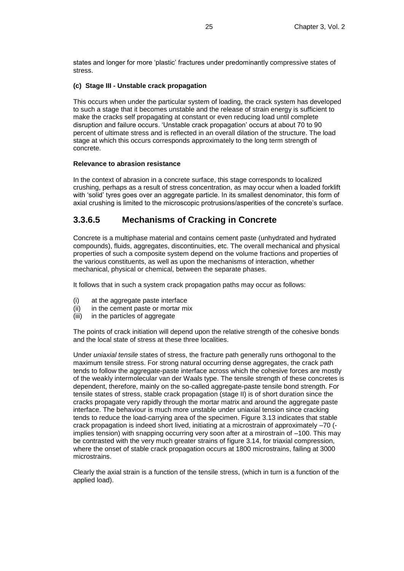states and longer for more 'plastic' fractures under predominantly compressive states of stress.

#### **(c) Stage III - Unstable crack propagation**

This occurs when under the particular system of loading, the crack system has developed to such a stage that it becomes unstable and the release of strain energy is sufficient to make the cracks self propagating at constant or even reducing load until complete disruption and failure occurs. 'Unstable crack propagation' occurs at about 70 to 90 percent of ultimate stress and is reflected in an overall dilation of the structure. The load stage at which this occurs corresponds approximately to the long term strength of concrete.

#### **Relevance to abrasion resistance**

In the context of abrasion in a concrete surface, this stage corresponds to localized crushing, perhaps as a result of stress concentration, as may occur when a loaded forklift with 'solid' tyres goes over an aggregate particle. In its smallest denominator, this form of axial crushing is limited to the microscopic protrusions/asperities of the concrete's surface.

## **3.3.6.5 Mechanisms of Cracking in Concrete**

Concrete is a multiphase material and contains cement paste (unhydrated and hydrated compounds), fluids, aggregates, discontinuities, etc. The overall mechanical and physical properties of such a composite system depend on the volume fractions and properties of the various constituents, as well as upon the mechanisms of interaction, whether mechanical, physical or chemical, between the separate phases.

It follows that in such a system crack propagation paths may occur as follows:

- (i) at the aggregate paste interface
- (ii) in the cement paste or mortar mix
- (iii) in the particles of aggregate

The points of crack initiation will depend upon the relative strength of the cohesive bonds and the local state of stress at these three localities.

Under *uniaxial tensile* states of stress, the fracture path generally runs orthogonal to the maximum tensile stress. For strong natural occurring dense aggregates, the crack path tends to follow the aggregate-paste interface across which the cohesive forces are mostly of the weakly intermolecular van der Waals type. The tensile strength of these concretes is dependent, therefore, mainly on the so-called aggregate-paste tensile bond strength. For tensile states of stress, stable crack propagation (stage II) is of short duration since the cracks propagate very rapidly through the mortar matrix and around the aggregate paste interface. The behaviour is much more unstable under uniaxial tension since cracking tends to reduce the load-carrying area of the specimen. Figure 3.13 indicates that stable crack propagation is indeed short lived, initiating at a microstrain of approximately –70 ( implies tension) with snapping occurring very soon after at a mirostrain of –100. This may be contrasted with the very much greater strains of figure 3.14, for triaxial compression, where the onset of stable crack propagation occurs at 1800 microstrains, failing at 3000 microstrains.

Clearly the axial strain is a function of the tensile stress, (which in turn is a function of the applied load).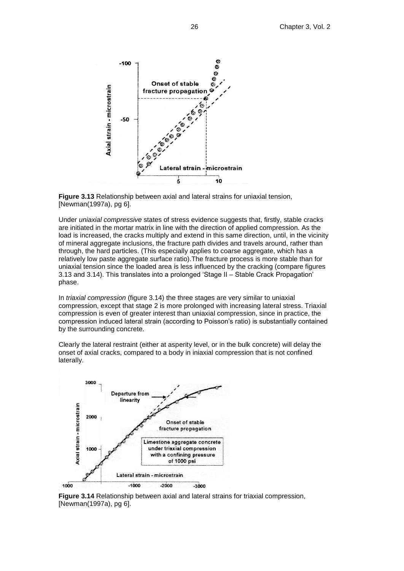

**Figure 3.13** Relationship between axial and lateral strains for uniaxial tension, [Newman(1997a), pg 6].

Under *uniaxial compressive* states of stress evidence suggests that, firstly, stable cracks are initiated in the mortar matrix in line with the direction of applied compression. As the load is increased, the cracks multiply and extend in this same direction, until, in the vicinity of mineral aggregate inclusions, the fracture path divides and travels around, rather than through, the hard particles. (This especially applies to coarse aggregate, which has a relatively low paste aggregate surface ratio). The fracture process is more stable than for uniaxial tension since the loaded area is less influenced by the cracking (compare figures 3.13 and 3.14). This translates into a prolonged 'Stage II – Stable Crack Propagation' phase.

In *triaxial compression* (figure 3.14) the three stages are very similar to uniaxial compression, except that stage 2 is more prolonged with increasing lateral stress. Triaxial compression is even of greater interest than uniaxial compression, since in practice, the compression induced lateral strain (according to Poisson's ratio) is substantially contained by the surrounding concrete.

Clearly the lateral restraint (either at asperity level, or in the bulk concrete) will delay the onset of axial cracks, compared to a body in iniaxial compression that is not confined laterally.



**Figure 3.14** Relationship between axial and lateral strains for triaxial compression, [Newman(1997a), pg 6].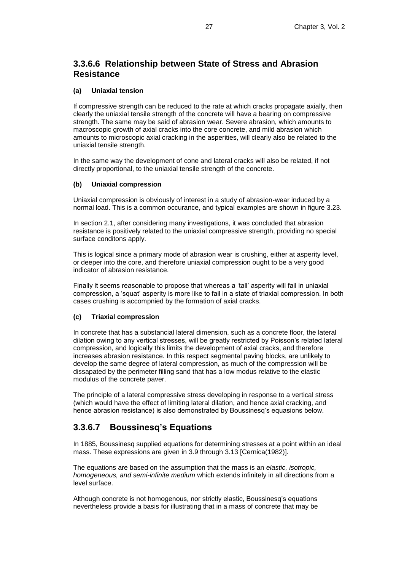### **3.3.6.6 Relationship between State of Stress and Abrasion Resistance**

#### **(a) Uniaxial tension**

If compressive strength can be reduced to the rate at which cracks propagate axially, then clearly the uniaxial tensile strength of the concrete will have a bearing on compressive strength. The same may be said of abrasion wear. Severe abrasion, which amounts to macroscopic growth of axial cracks into the core concrete, and mild abrasion which amounts to microscopic axial cracking in the asperities, will clearly also be related to the uniaxial tensile strength.

In the same way the development of cone and lateral cracks will also be related, if not directly proportional, to the uniaxial tensile strength of the concrete.

#### **(b) Uniaxial compression**

Uniaxial compression is obviously of interest in a study of abrasion-wear induced by a normal load. This is a common occurance, and typical examples are shown in figure 3.23.

In section 2.1, after considering many investigations, it was concluded that abrasion resistance is positively related to the uniaxial compressive strength, providing no special surface conditons apply.

This is logical since a primary mode of abrasion wear is crushing, either at asperity level, or deeper into the core, and therefore uniaxial compression ought to be a very good indicator of abrasion resistance.

Finally it seems reasonable to propose that whereas a 'tall' asperity will fail in uniaxial compression, a 'squat' asperity is more like to fail in a state of triaxial compression. In both cases crushing is accompnied by the formation of axial cracks.

#### **(c) Triaxial compression**

In concrete that has a substancial lateral dimension, such as a concrete floor, the lateral dilation owing to any vertical stresses, will be greatly restricted by Poisson's related lateral compression, and logically this limits the development of axial cracks, and therefore increases abrasion resistance. In this respect segmental paving blocks, are unlikely to develop the same degree of lateral compression, as much of the compression will be dissapated by the perimeter filling sand that has a low modus relative to the elastic modulus of the concrete paver.

The principle of a lateral compressive stress developing in response to a vertical stress (which would have the effect of limiting lateral dilation, and hence axial cracking, and hence abrasion resistance) is also demonstrated by Boussinesq's equasions below.

### **3.3.6.7 Boussinesq's Equations**

In 1885, Boussinesq supplied equations for determining stresses at a point within an ideal mass. These expressions are given in 3.9 through 3.13 [Cernica(1982)].

The equations are based on the assumption that the mass is an *elastic, isotropic, homogeneous, and semi-infinite medium* which extends infinitely in all directions from a level surface.

Although concrete is not homogenous, nor strictly elastic, Boussinesq's equations nevertheless provide a basis for illustrating that in a mass of concrete that may be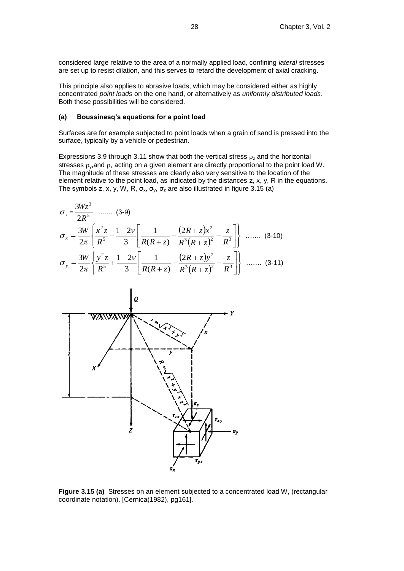considered large relative to the area of a normally applied load, confining *lateral* stresses are set up to resist dilation, and this serves to retard the development of axial cracking.

This principle also applies to abrasive loads, which may be considered either as highly concentrated *point loads* on the one hand, or alternatively as *uniformly distributed loads*. Both these possibilities will be considered.

#### **(a) Boussinesq's equations for a point load**

Surfaces are for example subjected to point loads when a grain of sand is pressed into the surface, typically by a vehicle or pedestrian.

Expressions 3.9 through 3.11 show that both the vertical stress  $\rho_z$  and the horizontal stresses  $\rho_v$ , and  $\rho_x$  acting on a given element are directly proportional to the point load W. The magnitude of these stresses are clearly also very sensitive to the location of the element relative to the point load, as indicated by the distances z, x, y, R in the equations. The symbols z, x, y, W, R,  $\sigma_x$ ,  $\sigma_y$ ,  $\sigma_z$  are also illustrated in figure 3.15 (a)

$$
\sigma_z = \frac{3Wz^3}{2R^5} \quad \dots \dots \quad (3-9)
$$
\n
$$
\sigma_x = \frac{3W}{2\pi} \left\{ \frac{x^2z}{R^5} + \frac{1-2\nu}{3} \left[ \frac{1}{R(R+z)} - \frac{(2R+z)x^2}{R^3(R+z)^2} - \frac{z}{R^3} \right] \right\} \quad \dots \dots \quad (3-10)
$$
\n
$$
\sigma_y = \frac{3W}{2\pi} \left\{ \frac{y^2z}{R^5} + \frac{1-2\nu}{3} \left[ \frac{1}{R(R+z)} - \frac{(2R+z)y^2}{R^3(R+z)^2} - \frac{z}{R^3} \right] \right\} \quad \dots \dots \quad (3-11)
$$



**Figure 3.15 (a)** Stresses on an element subjected to a concentrated load W, (rectangular coordinate notation). [Cernica(1982), pg161].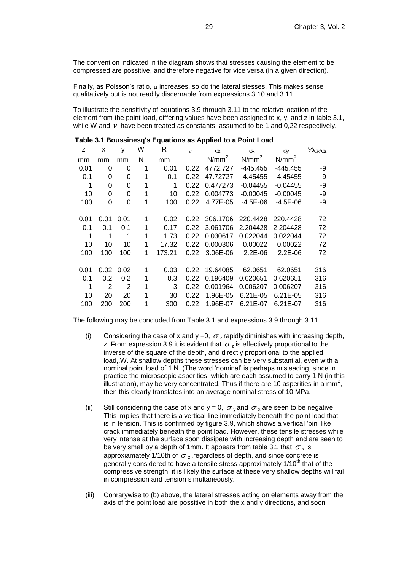The convention indicated in the diagram shows that stresses causing the element to be compressed are possitive, and therefore negative for vice versa (in a given direction).

Finally, as Poisson's ratio,  $\mu$  increases, so do the lateral stesses. This makes sense qualitatively but is not readily discernable from expressions 3.10 and 3.11.

To illustrate the sensitivity of equations 3.9 through 3.11 to the relative location of the element from the point load, differing values have been assigned to x, y, and z in table 3.1, while W and  $V$  have been treated as constants, assumed to be 1 and 0,22 respectively.

| z    | X    | У    | W | R      | $\mathbf{v}$ | Οz                | $\alpha$          | $\sigma$          | $\%_{\sigma x/\sigma z}$ |
|------|------|------|---|--------|--------------|-------------------|-------------------|-------------------|--------------------------|
| mm   | mm   | mm   | N | mm     |              | N/mm <sup>2</sup> | N/mm <sup>2</sup> | N/mm <sup>2</sup> |                          |
| 0.01 | 0    | 0    | 1 | 0.01   | 0.22         | 4772.727          | $-445.455$        | $-445.455$        | -9                       |
| 0.1  | 0    | 0    | 1 | 0.1    | 0.22         | 47.72727          | $-4.45455$        | $-4.45455$        | -9                       |
| 1    | 0    | 0    | 1 | 1      | 0.22         | 0.477273          | $-0.04455$        | $-0.04455$        | -9                       |
| 10   | 0    | 0    | 1 | 10     | 0.22         | 0.004773          | $-0.00045$        | $-0.00045$        | -9                       |
| 100  | 0    | 0    | 1 | 100    | 0.22         | 4.77E-05          | $-4.5E - 06$      | $-4.5E - 06$      | -9                       |
|      |      |      |   |        |              |                   |                   |                   |                          |
| 0.01 | 0.01 | 0.01 | 1 | 0.02   | 0.22         | 306.1706          | 220.4428          | 220.4428          | 72                       |
| 0.1  | 0.1  | 0.1  | 1 | 0.17   | 0.22         | 3.061706          | 2.204428          | 2.204428          | 72                       |
| 1    | 1    | 1    | 1 | 1.73   | 0.22         | 0.030617          | 0.022044          | 0.022044          | 72                       |
| 10   | 10   | 10   | 1 | 17.32  | 0.22         | 0.000306          | 0.00022           | 0.00022           | 72                       |
| 100  | 100  | 100  | 1 | 173.21 | 0.22         | 3.06E-06          | $2.2E-06$         | $2.2E-06$         | 72                       |
|      |      |      |   |        |              |                   |                   |                   |                          |
| 0.01 | 0.02 | 0.02 | 1 | 0.03   | 0.22         | 19.64085          | 62.0651           | 62.0651           | 316                      |
| 0.1  | 0.2  | 0.2  | 1 | 0.3    | 0.22         | 0.196409          | 0.620651          | 0.620651          | 316                      |
| 1    | 2    | 2    | 1 | 3      | 0.22         | 0.001964          | 0.006207          | 0.006207          | 316                      |
| 10   | 20   | 20   | 1 | 30     | 0.22         | 1.96E-05          | $6.21E - 05$      | $6.21E - 05$      | 316                      |
| 100  | 200  | 200  | 1 | 300    | 0.22         | 1.96E-07          | 6.21E-07          | 6.21E-07          | 316                      |

#### **Table 3.1 Boussinesq's Equations as Applied to a Point Load**

The following may be concluded from Table 3.1 and expressions 3.9 through 3.11.

- (i) Considering the case of x and y =0,  $\sigma$ <sub>z</sub> rapidly diminishes with increasing depth, z. From expression 3.9 it is evident that  $\sigma_z$  is effectively proportional to the inverse of the square of the depth, and directly proportional to the applied load,.W. At shallow depths these stresses can be very substantial, even with a nominal point load of 1 N. (The word 'nominal' is perhaps misleading, since in practice the microscopic asperities, which are each assumed to carry 1 N (in this illustration), may be very concentrated. Thus if there are 10 asperities in a mm<sup>2</sup>, then this clearly translates into an average nominal stress of 10 MPa.
- (ii) Still considering the case of x and y = 0,  $\sigma_y$  and  $\sigma_x$  are seen to be negative. This implies that there is a vertical line immediately beneath the point load that is in tension. This is confirmed by figure 3.9, which shows a vertical 'pin' like crack immediately beneath the point load. However, these tensile stresses while very intense at the surface soon dissipate with increasing depth and are seen to be very small by a depth of 1mm. It appears from table 3.1 that  $\sigma_{\mathrm{\textit{x}}}$  is approxiamately 1/10th of  $\sigma_z$ ,regardless of depth, and since concrete is generally considered to have a tensile stress approximately 1/10<sup>th</sup> that of the compressive strength, it is likely the surface at these very shallow depths will fail in compression and tension simultaneously.
- (iii) Conrarywise to (b) above, the lateral stresses acting on elements away from the axis of the point load are possitive in both the x and y directions, and soon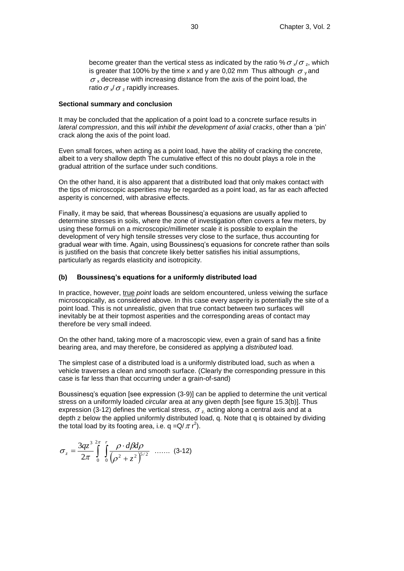become greater than the vertical stess as indicated by the ratio %  $\sigma$   $_{\!\star}$  /  $\sigma$   $_{\mathrm{z}},$  which is greater that 100% by the time x and y are 0,02 mm Thus although  $\sigma_{\textnormal{y}}$  and  $\sigma<sub>x</sub>$  decrease with increasing distance from the axis of the point load, the ratio  $\sigma$   $_{\!\scriptscriptstyle \times}$   $\sigma$   $_{\scriptscriptstyle \rm z}$  rapidly increases.

#### **Sectional summary and conclusion**

It may be concluded that the application of a point load to a concrete surface results in *lateral compression*, and this *will inhibit the development of axial cracks*, other than a 'pin' crack along the axis of the point load.

Even small forces, when acting as a point load, have the ability of cracking the concrete, albeit to a very shallow depth The cumulative effect of this no doubt plays a role in the gradual attrition of the surface under such conditions.

On the other hand, it is also apparent that a distributed load that only makes contact with the tips of microscopic asperities may be regarded as a point load, as far as each affected asperity is concerned, with abrasive effects.

Finally, it may be said, that whereas Boussinesq'a equasions are usually applied to determine stresses in soils, where the zone of investigation often covers a few meters, by using these formuli on a microscopic/millimeter scale it is possible to explain the development of very high tensile stresses very close to the surface, thus accounting for gradual wear with time. Again, using Boussinesq's equasions for concrete rather than soils is justified on the basis that concrete likely better satisfies his initial assumptions, particularly as regards elasticity and isotropicity.

#### **(b) Boussinesq's equations for a uniformly distributed load**

In practice, however, true *point* loads are seldom encountered, unless veiwing the surface microscopically, as considered above. In this case every asperity is potentially the site of a point load. This is not unrealistic, given that true contact between two surfaces will inevitably be at their topmost asperities and the corresponding areas of contact may therefore be very small indeed.

On the other hand, taking more of a macroscopic view, even a grain of sand has a finite bearing area, and may therefore, be considered as applying a *distributed* load.

The simplest case of a distributed load is a uniformly distributed load, such as when a vehicle traverses a clean and smooth surface. (Clearly the corresponding pressure in this case is far less than that occurring under a grain-of-sand)

Boussinesq's equation [see expression (3-9)] can be applied to determine the unit vertical stress on a uniformly loaded *circular* area at any given depth [see figure 15.3(b)]. Thus expression (3-12) defines the vertical stress,  $\sigma_{z_i}$  acting along a central axis and at a depth z below the applied uniformly distributed load, q. Note that q is obtained by dividing the total load by its footing area, i.e. q = Q/ $\pi$  r<sup>2</sup>).

$$
\sigma_z = \frac{3qz^3}{2\pi} \int_0^{2\pi} \int_0^r \frac{\rho \cdot d\beta d\rho}{\left(\rho^2 + z^2\right)^{5/2}} \quad \dots \dots \quad (3-12)
$$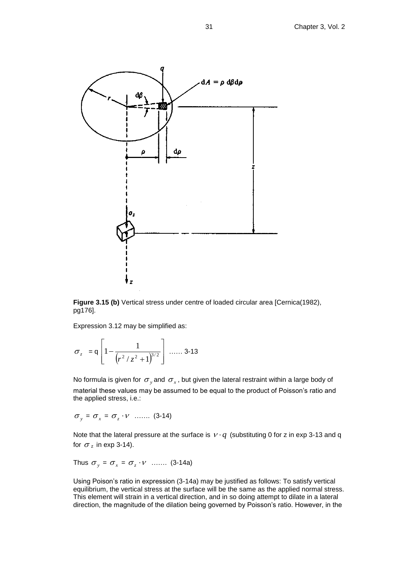

Figure 3.15 (b) Vertical stress under centre of loaded circular area [Cernica(1982), pg176].

Expression 3.12 may be simplified as:

$$
\sigma_z
$$
 = q  $\left[1 - \frac{1}{(r^2/z^2 + 1)^{3/2}}\right]$  ...... 3-13

No formula is given for  $\sigma_{\rm y}$  and  $\sigma_{\rm x}$  , but given the lateral restraint within a large body of material these values may be assumed to be equal to the product of Poisson's ratio and the applied stress, i.e.:

$$
\sigma_{y} = \sigma_{x} = \sigma_{z} \cdot \nu \quad \dots \quad (3-14)
$$

Note that the lateral pressure at the surface is  $v \cdot q$  (substituting 0 for z in exp 3-13 and q for  $\sigma$  <sub>z</sub> in exp 3-14).

Thus  $\sigma_y = \sigma_x = \sigma_z \cdot v$  ....... (3-14a)

Using Poison's ratio in expression (3-14a) may be justified as follows: To satisfy vertical equilibrium, the vertical stress at the surface will be the same as the applied normal stress. This element will strain in a vertical direction, and in so doing attempt to dilate in a lateral direction, the magnitude of the dilation being governed by Poisson's ratio. However, in the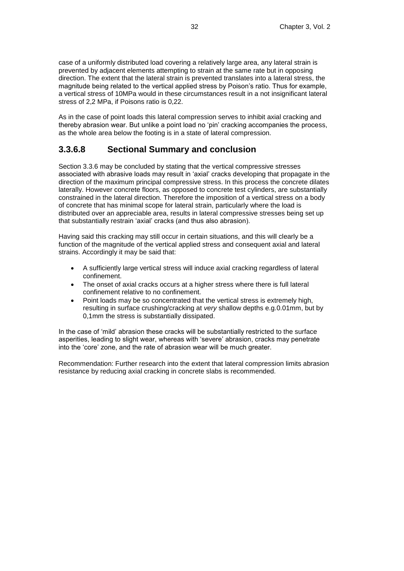case of a uniformly distributed load covering a relatively large area, any lateral strain is prevented by adjacent elements attempting to strain at the same rate but in opposing direction. The extent that the lateral strain is prevented translates into a lateral stress, the magnitude being related to the vertical applied stress by Poison's ratio. Thus for example, a vertical stress of 10MPa would in these circumstances result in a not insignificant lateral stress of 2,2 MPa, if Poisons ratio is 0,22.

As in the case of point loads this lateral compression serves to inhibit axial cracking and thereby abrasion wear. But unlike a point load no 'pin' cracking accompanies the process, as the whole area below the footing is in a state of lateral compression.

### **3.3.6.8 Sectional Summary and conclusion**

Section 3.3.6 may be concluded by stating that the vertical compressive stresses associated with abrasive loads may result in 'axial' cracks developing that propagate in the direction of the maximum principal compressive stress. In this process the concrete dilates laterally. However concrete floors, as opposed to concrete test cylinders, are substantially constrained in the lateral direction. Therefore the imposition of a vertical stress on a body of concrete that has minimal scope for lateral strain, particularly where the load is distributed over an appreciable area, results in lateral compressive stresses being set up that substantially restrain 'axial' cracks (and thus also abrasion).

Having said this cracking may still occur in certain situations, and this will clearly be a function of the magnitude of the vertical applied stress and consequent axial and lateral strains. Accordingly it may be said that:

- A sufficiently large vertical stress will induce axial cracking regardless of lateral confinement.
- The onset of axial cracks occurs at a higher stress where there is full lateral confinement relative to no confinement.
- Point loads may be so concentrated that the vertical stress is extremely high, resulting in surface crushing/cracking at *very* shallow depths e.g.0.01mm, but by 0,1mm the stress is substantially dissipated.

In the case of 'mild' abrasion these cracks will be substantially restricted to the surface asperities, leading to slight wear, whereas with 'severe' abrasion, cracks may penetrate into the 'core' zone, and the rate of abrasion wear will be much greater.

Recommendation: Further research into the extent that lateral compression limits abrasion resistance by reducing axial cracking in concrete slabs is recommended.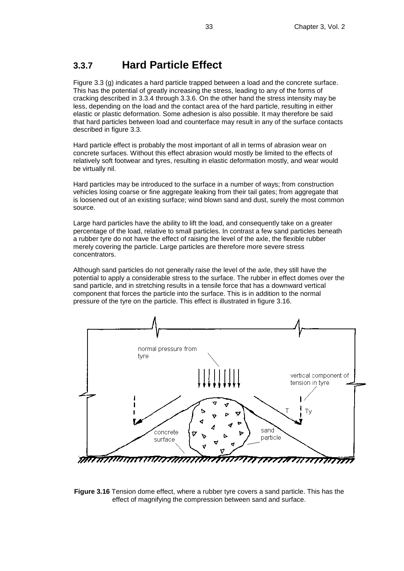## **3.3.7 Hard Particle Effect**

Figure 3.3 (g) indicates a hard particle trapped between a load and the concrete surface. This has the potential of greatly increasing the stress, leading to any of the forms of cracking described in 3.3.4 through 3.3.6. On the other hand the stress intensity may be less, depending on the load and the contact area of the hard particle, resulting in either elastic or plastic deformation. Some adhesion is also possible. It may therefore be said that hard particles between load and counterface may result in any of the surface contacts described in figure 3.3.

Hard particle effect is probably the most important of all in terms of abrasion wear on concrete surfaces. Without this effect abrasion would mostly be limited to the effects of relatively soft footwear and tyres, resulting in elastic deformation mostly, and wear would be virtually nil.

Hard particles may be introduced to the surface in a number of ways; from construction vehicles losing coarse or fine aggregate leaking from their tail gates; from aggregate that is loosened out of an existing surface; wind blown sand and dust, surely the most common source.

Large hard particles have the ability to lift the load, and consequently take on a greater percentage of the load, relative to small particles. In contrast a few sand particles beneath a rubber tyre do not have the effect of raising the level of the axle, the flexible rubber merely covering the particle. Large particles are therefore more severe stress concentrators.

Although sand particles do not generally raise the level of the axle, they still have the potential to apply a considerable stress to the surface. The rubber in effect domes over the sand particle, and in stretching results in a tensile force that has a downward vertical component that forces the particle into the surface. This is in addition to the normal pressure of the tyre on the particle. This effect is illustrated in figure 3.16.



**Figure 3.16** Tension dome effect, where a rubber tyre covers a sand particle. This has the effect of magnifying the compression between sand and surface.